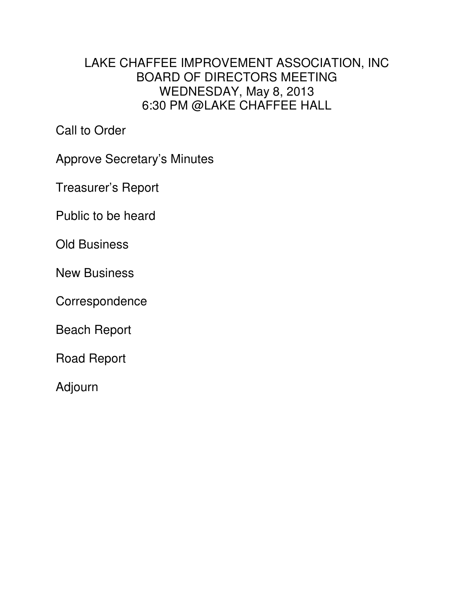## LAKE CHAFFEE IMPROVEMENT ASSOCIATION, INC BOARD OF DIRECTORS MEETING WEDNESDAY, May 8, 2013 6:30 PM @LAKE CHAFFEE HALL

Call to Order

Approve Secretary's Minutes

Treasurer's Report

Public to be heard

Old Business

New Business

Correspondence

Beach Report

Road Report

Adjourn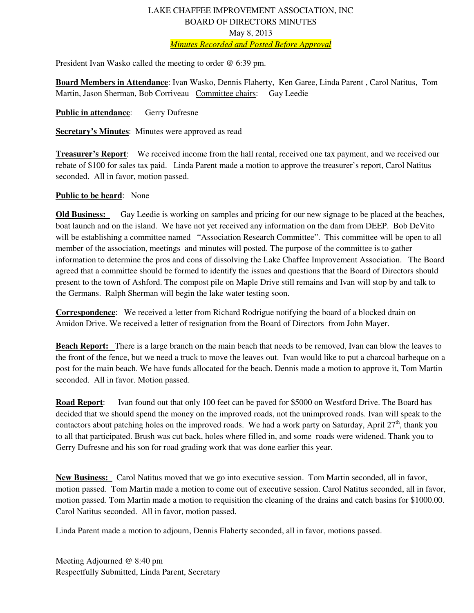## LAKE CHAFFEE IMPROVEMENT ASSOCIATION, INC BOARD OF DIRECTORS MINUTES May 8, 2013 *Minutes Recorded and Posted Before Approval*

President Ivan Wasko called the meeting to order @ 6:39 pm.

**Board Members in Attendance**: Ivan Wasko, Dennis Flaherty, Ken Garee, Linda Parent , Carol Natitus, Tom Martin, Jason Sherman, Bob Corriveau Committee chairs: Gay Leedie

**Public in attendance:** Gerry Dufresne

**Secretary's Minutes**: Minutes were approved as read

**Treasurer's Report**: We received income from the hall rental, received one tax payment, and we received our rebate of \$100 for sales tax paid. Linda Parent made a motion to approve the treasurer's report, Carol Natitus seconded. All in favor, motion passed.

## **Public to be heard**: None

**Old Business:** Gay Leedie is working on samples and pricing for our new signage to be placed at the beaches, boat launch and on the island. We have not yet received any information on the dam from DEEP. Bob DeVito will be establishing a committee named "Association Research Committee". This committee will be open to all member of the association, meetings and minutes will posted. The purpose of the committee is to gather information to determine the pros and cons of dissolving the Lake Chaffee Improvement Association. The Board agreed that a committee should be formed to identify the issues and questions that the Board of Directors should present to the town of Ashford. The compost pile on Maple Drive still remains and Ivan will stop by and talk to the Germans. Ralph Sherman will begin the lake water testing soon.

**Correspondence**: We received a letter from Richard Rodrigue notifying the board of a blocked drain on Amidon Drive. We received a letter of resignation from the Board of Directors from John Mayer.

**Beach Report:** There is a large branch on the main beach that needs to be removed, Ivan can blow the leaves to the front of the fence, but we need a truck to move the leaves out. Ivan would like to put a charcoal barbeque on a post for the main beach. We have funds allocated for the beach. Dennis made a motion to approve it, Tom Martin seconded. All in favor. Motion passed.

**Road Report**: Ivan found out that only 100 feet can be paved for \$5000 on Westford Drive. The Board has decided that we should spend the money on the improved roads, not the unimproved roads. Ivan will speak to the contactors about patching holes on the improved roads. We had a work party on Saturday, April  $27<sup>th</sup>$ , thank you to all that participated. Brush was cut back, holes where filled in, and some roads were widened. Thank you to Gerry Dufresne and his son for road grading work that was done earlier this year.

**New Business:** Carol Natitus moved that we go into executive session. Tom Martin seconded, all in favor, motion passed. Tom Martin made a motion to come out of executive session. Carol Natitus seconded, all in favor, motion passed. Tom Martin made a motion to requisition the cleaning of the drains and catch basins for \$1000.00. Carol Natitus seconded. All in favor, motion passed.

Linda Parent made a motion to adjourn, Dennis Flaherty seconded, all in favor, motions passed.

Meeting Adjourned @ 8:40 pm Respectfully Submitted, Linda Parent, Secretary